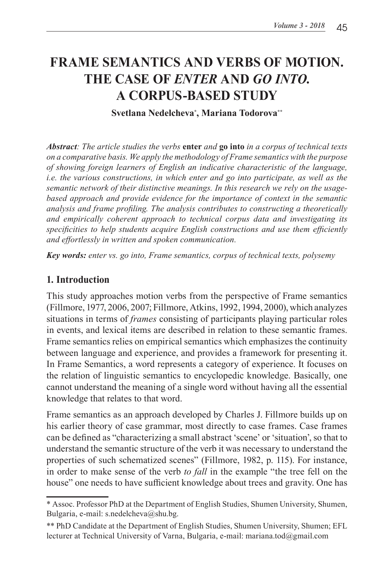# **FRAME SEMANTICS AND VERBS OF MOTION. THE CASE OF** *ENTER* **AND** *GO INTO***. A CORPUS-BASED STUDY**

**Svetlana Nedelcheva\* , Mariana Todorova\*\***

*Abstract: The article studies the verbs* **enter** *and* **go into** *in a corpus of technical texts on a comparative basis. We apply the methodology of Frame semantics with the purpose of showing foreign learners of English an indicative characteristic of the language, i.e. the various constructions, in which enter and go into participate, as well as the semantic network of their distinctive meanings. In this research we rely on the usagebased approach and provide evidence for the importance of context in the semantic analysis and frame profiling. The analysis contributes to constructing a theoretically and empirically coherent approach to technical corpus data and investigating its specificities to help students acquire English constructions and use them efficiently and effortlessly in written and spoken communication.*

*Key words: enter vs. go into, Frame semantics, corpus of technical texts, polysemy*

#### **1. Introduction**

This study approaches motion verbs from the perspective of Frame semantics (Fillmore, 1977, 2006, 2007; Fillmore, Atkins, 1992, 1994, 2000), which analyzes situations in terms of *frames* consisting of participants playing particular roles in events, and lexical items are described in relation to these semantic frames. Frame semantics relies on empirical semantics which emphasizes the continuity between language and experience, and provides a framework for presenting it. In Frame Semantics, a word represents a category of experience. It focuses on the relation of linguistic semantics to encyclopedic knowledge. Basically, one cannot understand the meaning of a single word without having all the essential knowledge that relates to that word.

Frame semantics as an approach developed by Charles J. Fillmore builds up on his earlier theory of case grammar, most directly to case frames. Case frames can be defined as "characterizing a small abstract 'scene' or 'situation', so that to understand the semantic structure of the verb it was necessary to understand the properties of such schematized scenes" (Fillmore, 1982, p. 115). For instance, in order to make sense of the verb *to fall* in the example "the tree fell on the house" one needs to have sufficient knowledge about trees and gravity. One has

<sup>\*</sup> Assoc. Professor PhD at the Department of English Studies, Shumen University, Shumen, Bulgaria, e-mail: s.nedelcheva@shu.bg.

<sup>\*\*</sup> PhD Candidate at the Department of English Studies, Shumen University, Shumen; EFL lecturer at Technical University of Varna, Bulgaria, e-mail: mariana.tod@gmail.com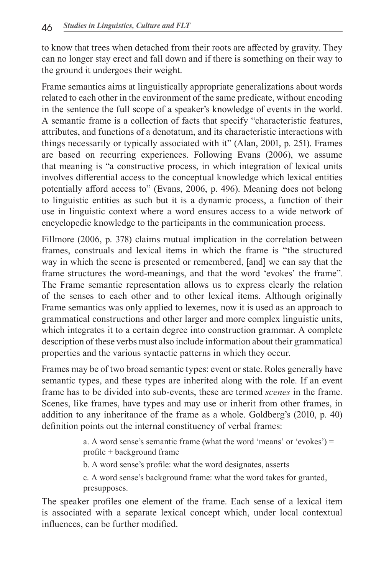to know that trees when detached from their roots are affected by gravity. They can no longer stay erect and fall down and if there is something on their way to the ground it undergoes their weight.

Frame semantics aims at linguistically appropriate generalizations about words related to each other in the environment of the same predicate, without encoding in the sentence the full scope of a speaker's knowledge of events in the world. A semantic frame is a collection of facts that specify "characteristic features, attributes, and functions of a denotatum, and its characteristic interactions with things necessarily or typically associated with it" (Alan, 2001, p. 251). Frames are based on recurring experiences. Following Evans (2006), we assume that meaning is "a constructive process, in which integration of lexical units involves differential access to the conceptual knowledge which lexical entities potentially afford access to" (Evans, 2006, p. 496). Meaning does not belong to linguistic entities as such but it is a dynamic process, a function of their use in linguistic context where a word ensures access to a wide network of encyclopedic knowledge to the participants in the communication process.

Fillmore (2006, p. 378) claims mutual implication in the correlation between frames, construals and lexical items in which the frame is "the structured way in which the scene is presented or remembered, [and] we can say that the frame structures the word-meanings, and that the word 'evokes' the frame". The Frame semantic representation allows us to express clearly the relation of the senses to each other and to other lexical items. Although originally Frame semantics was only applied to lexemes, now it is used as an approach to grammatical constructions and other larger and more complex linguistic units, which integrates it to a certain degree into construction grammar. A complete description of these verbs must also include information about their grammatical properties and the various syntactic patterns in which they occur.

Frames may be of two broad semantic types: event or state. Roles generally have semantic types, and these types are inherited along with the role. If an event frame has to be divided into sub-events, these are termed *scenes* in the frame. Scenes, like frames, have types and may use or inherit from other frames, in addition to any inheritance of the frame as a whole. Goldberg's (2010, p. 40) definition points out the internal constituency of verbal frames:

> a. A word sense's semantic frame (what the word 'means' or 'evokes') = profile + background frame

b. A word sense's profile: what the word designates, asserts

c. A word sense's background frame: what the word takes for granted, presupposes.

The speaker profiles one element of the frame. Each sense of a lexical item is associated with a separate lexical concept which, under local contextual influences, can be further modified.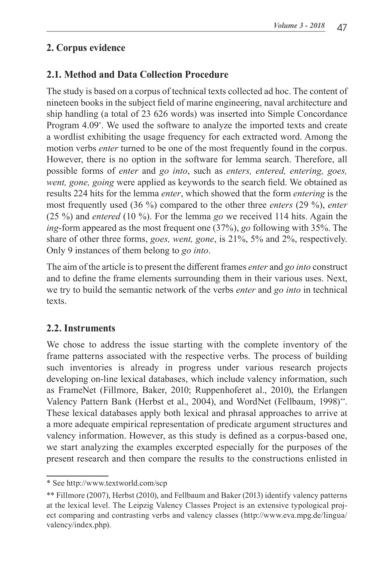# **2. Corpus evidence**

# **2.1. Method and Data Collection Procedure**

The study is based on a corpus of technical texts collected ad hoc. The content of nineteen books in the subject field of marine engineering, naval architecture and ship handling (a total of 23 626 words) was inserted into Simple Concordance Program 4.09\* . We used the software to analyze the imported texts and create a wordlist exhibiting the usage frequency for each extracted word. Among the motion verbs *enter* turned to be one of the most frequently found in the corpus. However, there is no option in the software for lemma search. Therefore, all possible forms of *enter* and *go into*, such as *enters, entered, entering, goes, went, gone, going* were applied as keywords to the search field. We obtained as results 224 hits for the lemma *enter*, which showed that the form *entering* is the most frequently used (36 %) compared to the other three *enters* (29 %), *enter* (25 %) and *entered* (10 %). For the lemma *go* we received 114 hits. Again the *ing*-form appeared as the most frequent one (37%), *go* following with 35%. The share of other three forms, *goes, went, gone*, is 21%, 5% and 2%, respectively. Only 9 instances of them belong to *go into*.

The aim of the article is to present the different frames *enter* and *go into* construct and to define the frame elements surrounding them in their various uses. Next, we try to build the semantic network of the verbs *enter* and *go into* in technical texts.

# **2.2. Instruments**

We chose to address the issue starting with the complete inventory of the frame patterns associated with the respective verbs. The process of building such inventories is already in progress under various research projects developing on-line lexical databases, which include valency information, such as FrameNet (Fillmore, Baker, 2010; Ruppenhoferet al., 2010), the Erlangen Valency Pattern Bank (Herbst et al., 2004), and WordNet (Fellbaum, 1998)\*\*. These lexical databases apply both lexical and phrasal approaches to arrive at a more adequate empirical representation of predicate argument structures and valency information. However, as this study is defined as a corpus-based one, we start analyzing the examples excerpted especially for the purposes of the present research and then compare the results to the constructions enlisted in

<sup>\*</sup> See http://www.textworld.com/scp

<sup>\*\*</sup> Fillmore (2007), Herbst (2010), and Fellbaum and Baker (2013) identify valency patterns at the lexical level. The Leipzig Valency Classes Project is an extensive typological project comparing and contrasting verbs and valency classes (http://www.eva.mpg.de/lingua/ valency/index.php).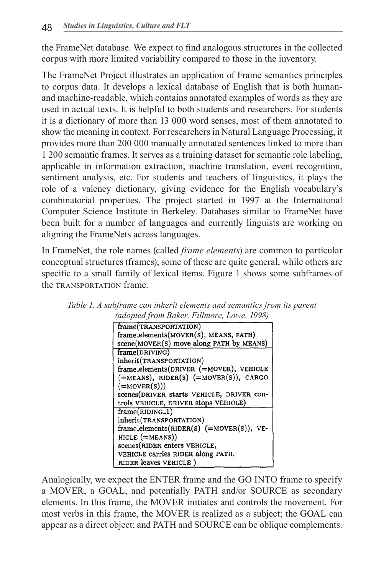the FrameNet database. We expect to find analogous structures in the collected corpus with more limited variability compared to those in the inventory.

The FrameNet Project illustrates an application of Frame semantics principles to corpus data. It develops a lexical database of English that is both humanand machine-readable, which contains annotated examples of words as they are used in actual texts. It is helpful to both students and researchers. For students it is a dictionary of more than 13 000 word senses, most of them annotated to show the meaning in context. For researchers in Natural Language Processing, it provides more than 200 000 manually annotated sentences linked to more than 1 200 semantic frames. It serves as a training dataset for semantic role labeling, applicable in information extraction, machine translation, event recognition, sentiment analysis, etc. For students and teachers of linguistics, it plays the role of a valency dictionary, giving evidence for the English vocabulary's combinatorial properties. The project started in 1997 at the International Computer Science Institute in Berkeley. Databases similar to FrameNet have been built for a number of languages and currently linguists are working on aligning the FrameNets across languages.

In FrameNet, the role names (called *frame elements*) are common to particular conceptual structures (frames); some of these are quite general, while others are specific to a small family of lexical items. Figure 1 shows some subframes of the TRANSPORTATION frame.



*Table 1. A subframe can inherit elements and semantics from its parent (adopted from Baker, Fillmore, Lowe, 1998)*

Analogically, we expect the ENTER frame and the GO INTO frame to specify a MOVER, a GOAL, and potentially PATH and/or SOURCE as secondary elements. In this frame, the MOVER initiates and controls the movement. For most verbs in this frame, the MOVER is realized as a subject; the GOAL can appear as a direct object; and PATH and SOURCE can be oblique complements.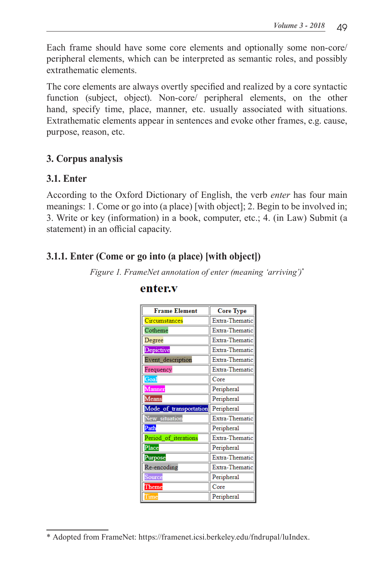Each frame should have some core elements and optionally some non-core/ peripheral elements, which can be interpreted as semantic roles, and possibly extrathematic elements.

The core elements are always overtly specified and realized by a core syntactic function (subject, object). Non-core/ peripheral elements, on the other hand, specify time, place, manner, etc. usually associated with situations. Extrathematic elements appear in sentences and evoke other frames, e.g. cause, purpose, reason, etc.

#### **3. Corpus analysis**

#### **3.1. Enter**

According to the Oxford Dictionary of English, the verb *enter* has four main meanings: 1. Come or go into (a place) [with object]; 2. Begin to be involved in; 3. Write or key (information) in a book, computer, etc.; 4. (in Law) Submit (a statement) in an official capacity.

# **3.1.1. Enter (Come or go into (a place) [with object])**

*Figure 1. FrameNet annotation of enter (meaning 'arriving')\**

| <b>Frame Element</b>   | <b>Core Type</b> |
|------------------------|------------------|
| Circumstances          | Extra-Thematic   |
| Cotheme                | Extra-Thematic   |
| Degree                 | Extra-Thematic   |
| Depictive              | Extra-Thematic   |
| Event description      | Extra-Thematic   |
| Frequency              | Extra-Thematic   |
| Goal                   | Core             |
| Manner                 | Peripheral       |
| <b>Means</b>           | Peripheral       |
| Mode of transportation | Peripheral       |
| New situation          | Extra-Thematic   |
| Path                   | Peripheral       |
| Period of iterations   | Extra-Thematic   |
| Place                  | Peripheral       |
| Purpose                | Extra-Thematic   |
| Re-encoding            | Extra-Thematic   |
| Source                 | Peripheral       |
| $\Gamma$ heme          | Core             |
| Time                   | Peripheral       |

#### enter.v

<sup>\*</sup> Adopted from FrameNet: https://framenet.icsi.berkeley.edu/fndrupal/luIndex.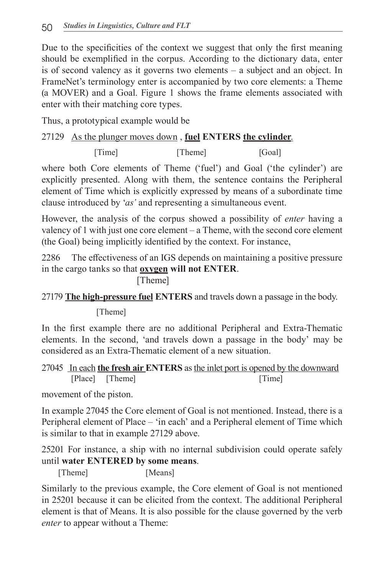Due to the specificities of the context we suggest that only the first meaning should be exemplified in the corpus. According to the dictionary data, enter is of second valency as it governs two elements – a subject and an object. In FrameNet's terminology enter is accompanied by two core elements: a Theme (a MOVER) and a Goal. Figure 1 shows the frame elements associated with enter with their matching core types.

Thus, a prototypical example would be

#### 27129 As the plunger moves down , **fuel ENTERS the cylinder**.

[Time] [Goal]

where both Core elements of Theme ('fuel') and Goal ('the cylinder') are explicitly presented. Along with them, the sentence contains the Peripheral element of Time which is explicitly expressed by means of a subordinate time clause introduced by '*as'* and representing a simultaneous event.

However, the analysis of the corpus showed a possibility of *enter* having a valency of 1 with just one core element – a Theme, with the second core element (the Goal) being implicitly identified by the context. For instance,

2286 The effectiveness of an IGS depends on maintaining a positive pressure in the cargo tanks so that **oxygen will not ENTER**.

[Theme]

27179 **The high-pressure fuel ENTERS** and travels down a passage in the body.

[Theme]

In the first example there are no additional Peripheral and Extra-Thematic elements. In the second, 'and travels down a passage in the body' may be considered as an Extra-Thematic element of a new situation.

|  |                 |  |  |        | 27045 In each the fresh air ENTERS as the inlet port is opened by the downward |
|--|-----------------|--|--|--------|--------------------------------------------------------------------------------|
|  | [Place] [Theme] |  |  | [Time] |                                                                                |

movement of the piston.

In example 27045 the Core element of Goal is not mentioned. Instead, there is a Peripheral element of Place – 'in each' and a Peripheral element of Time which is similar to that in example 27129 above.

25201 For instance, a ship with no internal subdivision could operate safely until **water ENTERED by some means**.

[Theme] [Means]

Similarly to the previous example, the Core element of Goal is not mentioned in 25201 because it can be elicited from the context. The additional Peripheral element is that of Means. It is also possible for the clause governed by the verb *enter* to appear without a Theme: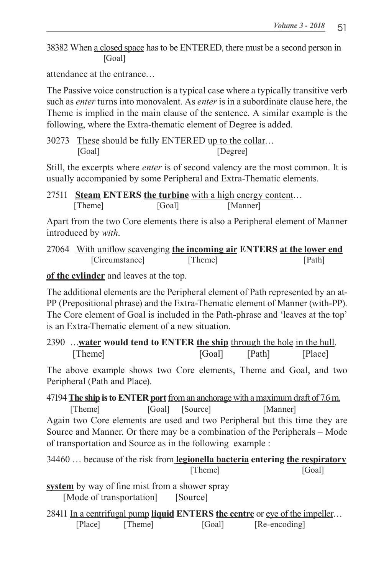38382 When a closed space has to be ENTERED, there must be a second person in [Goal]

attendance at the entrance…

The Passive voice construction is a typical case where a typically transitive verb such as *enter* turns into monovalent. As *enter* is in a subordinate clause here, the Theme is implied in the main clause of the sentence. A similar example is the following, where the Extra-thematic element of Degree is added.

30273 These should be fully ENTERED up to the collar… [Goal] **[Degree]** 

Still, the excerpts where *enter* is of second valency are the most common. It is usually accompanied by some Peripheral and Extra-Thematic elements.

27511 **Steam ENTERS the turbine** with a high energy content… [Theme] [Goal] [Manner]

Apart from the two Core elements there is also a Peripheral element of Manner introduced by *with*.

27064 With uniflow scavenging **the incoming air ENTERS at the lower end** [Circumstance] [Theme] [Path]

**of the cylinder** and leaves at the top.

The additional elements are the Peripheral element of Path represented by an at-PP (Prepositional phrase) and the Extra-Thematic element of Manner (with-PP). The Core element of Goal is included in the Path-phrase and 'leaves at the top' is an Extra-Thematic element of a new situation.

2390 …**water would tend to ENTER the ship** through the hole in the hull. [Theme] [Goal] [Path] [Place]

The above example shows two Core elements, Theme and Goal, and two Peripheral (Path and Place).

47194 **The ship is to ENTER port**from an anchorage with a maximum draft of 7.6 m. [Theme] [Goal] [Source] [Manner] Again two Core elements are used and two Peripheral but this time they are Source and Manner. Or there may be a combination of the Peripherals – Mode of transportation and Source as in the following example :

34460 … because of the risk from **legionella bacteria entering the respiratory** [Theme] [Goal]

**system** by way of fine mist from a shower spray [Mode of transportation] [Source]

28411 In a centrifugal pump **liquid ENTERS the centre** or eye of the impeller… [Place] [Theme] [Goal] [Re-encoding]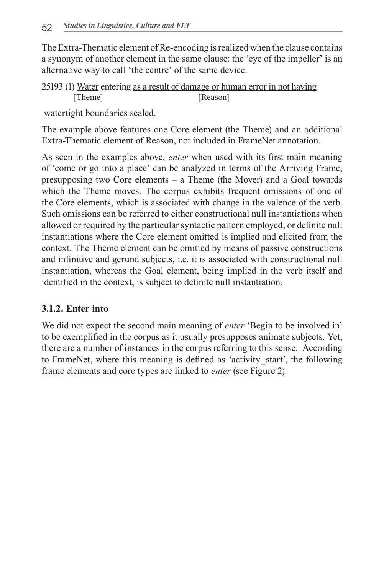The Extra-Thematic element of Re-encoding is realized when the clause contains a synonym of another element in the same clause: the 'eye of the impeller' is an alternative way to call 'the centre' of the same device.

25193 (1) Water entering as a result of damage or human error in not having [Theme] [Reason]

watertight boundaries sealed.

The example above features one Core element (the Theme) and an additional Extra-Thematic element of Reason, not included in FrameNet annotation.

As seen in the examples above, *enter* when used with its first main meaning of 'come or go into a place' can be analyzed in terms of the Arriving Frame, presupposing two Core elements – a Theme (the Mover) and a Goal towards which the Theme moves. The corpus exhibits frequent omissions of one of the Core elements, which is associated with change in the valence of the verb. Such omissions can be referred to either constructional null instantiations when allowed or required by the particular syntactic pattern employed, or definite null instantiations where the Core element omitted is implied and elicited from the context. The Theme element can be omitted by means of passive constructions and infinitive and gerund subjects, i.e. it is associated with constructional null instantiation, whereas the Goal element, being implied in the verb itself and identified in the context, is subject to definite null instantiation.

#### **3.1.2. Enter into**

We did not expect the second main meaning of *enter* 'Begin to be involved in' to be exemplified in the corpus as it usually presupposes animate subjects. Yet, there are a number of instances in the corpus referring to this sense. According to FrameNet, where this meaning is defined as 'activity\_start', the following frame elements and core types are linked to *enter* (see Figure 2):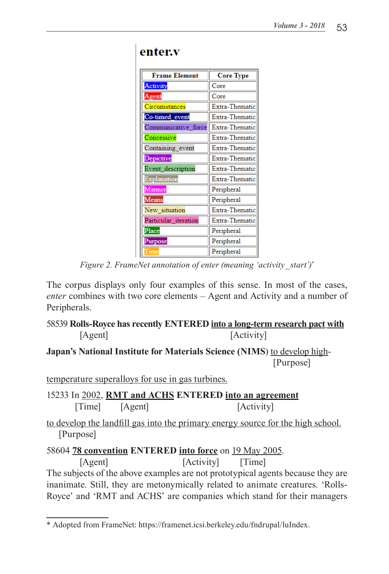| <b>Frame Element</b> | <b>Core Type</b> |
|----------------------|------------------|
| Activity             | Core             |
| Agent                | Core             |
| Circumstances        | Extra-Thematic   |
| Co-timed event       | Extra-Thematic   |
| Communicative force  | Extra-Thematic   |
| Concessive           | Extra-Thematic   |
| Containing event     | Extra-Thematic   |
| Depictive            | Extra-Thematic   |
| Event description    | Extra-Thematic   |
| Explanation          | Extra-Thematic   |
| Manner               | Peripheral       |
| Means                | Peripheral       |
| New_situation        | Extra-Thematic   |
| Particular iteration | Extra-Thematic   |
| Place                | Peripheral       |
| Purpose              | Peripheral       |
| Time                 | Peripheral       |

#### enter.v

*Figure 2. FrameNet annotation of enter (meaning 'activity\_start')\**

The corpus displays only four examples of this sense. In most of the cases, *enter* combines with two core elements – Agent and Activity and a number of Peripherals.

#### 58539 **Rolls-Royce has recently ENTERED into a long-term research pact with** [Agent] [Activity]

#### **Japan's National Institute for Materials Science (NIMS)** to develop high-[Purpose]

temperature superalloys for use in gas turbines.

15233 In 2002, **RMT and ACHS ENTERED into an agreement** [Time] [Agent] [Activity]

to develop the landfill gas into the primary energy source for the high school. [Purpose]

```
58604 78 convention ENTERED into force on 19 May 2005.
```
[Agent] [Activity] [Time] The subjects of the above examples are not prototypical agents because they are inanimate. Still, they are metonymically related to animate creatures. 'Rolls-Royce' and 'RMT and ACHS' are companies which stand for their managers

<sup>\*</sup> Adopted from FrameNet: https://framenet.icsi.berkeley.edu/fndrupal/luIndex.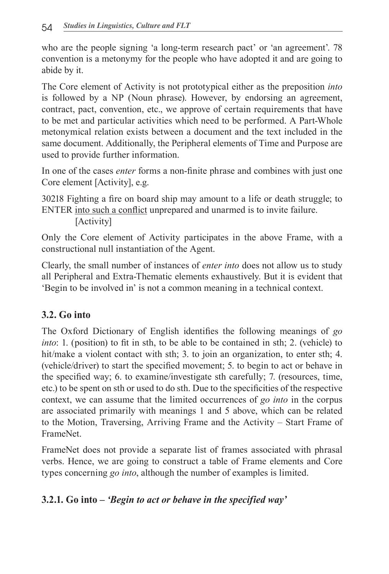who are the people signing 'a long-term research pact' or 'an agreement'. 78 convention is a metonymy for the people who have adopted it and are going to abide by it.

The Core element of Activity is not prototypical either as the preposition *into* is followed by a NP (Noun phrase). However, by endorsing an agreement, contract, pact, convention, etc., we approve of certain requirements that have to be met and particular activities which need to be performed. A Part-Whole metonymical relation exists between a document and the text included in the same document. Additionally, the Peripheral elements of Time and Purpose are used to provide further information.

In one of the cases *enter* forms a non-finite phrase and combines with just one Core element [Activity], e.g.

30218 Fighting a fire on board ship may amount to a life or death struggle; to ENTER into such a conflict unprepared and unarmed is to invite failure.

[Activity]

Only the Core element of Activity participates in the above Frame, with a constructional null instantiation of the Agent.

Clearly, the small number of instances of *enter into* does not allow us to study all Peripheral and Extra-Thematic elements exhaustively. But it is evident that 'Begin to be involved in' is not a common meaning in a technical context.

# **3.2. Go into**

The Oxford Dictionary of English identifies the following meanings of *go into*: 1. (position) to fit in sth, to be able to be contained in sth; 2. (vehicle) to hit/make a violent contact with sth; 3. to join an organization, to enter sth; 4. (vehicle/driver) to start the specified movement; 5. to begin to act or behave in the specified way; 6. to examine/investigate sth carefully; 7. (resources, time, etc.) to be spent on sth or used to do sth. Due to the specificities of the respective context, we can assume that the limited occurrences of *go into* in the corpus are associated primarily with meanings 1 and 5 above, which can be related to the Motion, Traversing, Arriving Frame and the Activity – Start Frame of FrameNet.

FrameNet does not provide a separate list of frames associated with phrasal verbs. Hence, we are going to construct a table of Frame elements and Core types concerning *go into*, although the number of examples is limited.

# **3.2.1. Go into –** *'Begin to act or behave in the specified way'*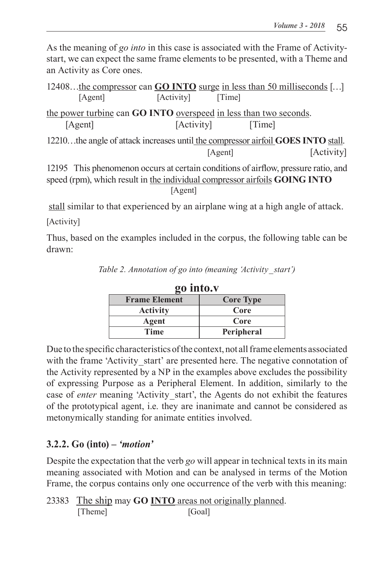As the meaning of *go into* in this case is associated with the Frame of Activitystart, we can expect the same frame elements to be presented, with a Theme and an Activity as Core ones.

| 12408the compressor can <b>GO INTO</b> surge in less than 50 milliseconds []       |            |         |        |            |
|------------------------------------------------------------------------------------|------------|---------|--------|------------|
| [Agent]                                                                            | [Activity] | [Time]  |        |            |
| the power turbine can GO INTO overspeed in less than two seconds.                  |            |         |        |            |
| [Agent]                                                                            | [Activity] |         | [Time] |            |
| 12210the angle of attack increases until the compressor airfoil GOES INTO stall.   |            |         |        |            |
|                                                                                    |            | [Agent] |        | [Activity] |
| 12195 This phenomenon occurs at certain conditions of airflow, pressure ratio, and |            |         |        |            |
| speed (rpm), which result in the individual compressor airfoils GOING INTO         |            |         |        |            |
|                                                                                    | [Agent]    |         |        |            |

stall similar to that experienced by an airplane wing at a high angle of attack.

[Activity]

Thus, based on the examples included in the corpus, the following table can be drawn:

| go into.v            |                  |  |  |
|----------------------|------------------|--|--|
| <b>Frame Element</b> | <b>Core Type</b> |  |  |
| <b>Activity</b>      | Core             |  |  |
| Agent                | Core             |  |  |
| Time                 | Peripheral       |  |  |

*Table 2. Annotation of go into (meaning 'Activity\_start')*

Due to the specific characteristics of the context, not all frame elements associated with the frame 'Activity start' are presented here. The negative connotation of the Activity represented by a NP in the examples above excludes the possibility of expressing Purpose as a Peripheral Element. In addition, similarly to the case of *enter* meaning 'Activity start', the Agents do not exhibit the features of the prototypical agent, i.e. they are inanimate and cannot be considered as metonymically standing for animate entities involved.

# **3.2.2. Go (into)** *– 'motion'*

Despite the expectation that the verb *go* will appear in technical texts in its main meaning associated with Motion and can be analysed in terms of the Motion Frame, the corpus contains only one occurrence of the verb with this meaning:

<sup>23383</sup> The ship may **GO INTO** areas not originally planned. [Theme] [Goal]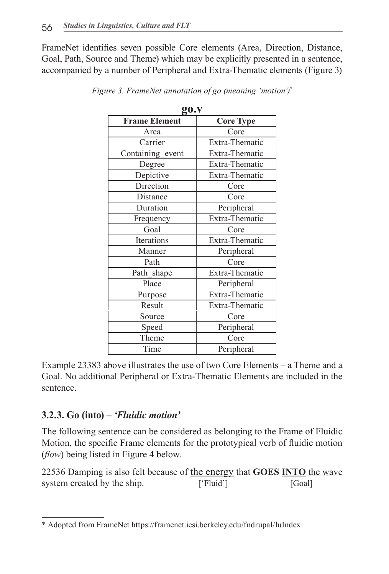FrameNet identifies seven possible Core elements (Area, Direction, Distance, Goal, Path, Source and Theme) which may be explicitly presented in a sentence, accompanied by a number of Peripheral and Extra-Thematic elements (Figure 3)

| gu.v                 |                  |  |  |  |
|----------------------|------------------|--|--|--|
| <b>Frame Element</b> | <b>Core Type</b> |  |  |  |
| Area                 | Core             |  |  |  |
| Carrier              | Extra-Thematic   |  |  |  |
| Containing_event     | Extra-Thematic   |  |  |  |
| Degree               | Extra-Thematic   |  |  |  |
| Depictive            | Extra-Thematic   |  |  |  |
| Direction            | Core             |  |  |  |
| Distance             | Core             |  |  |  |
| Duration             | Peripheral       |  |  |  |
| Frequency            | Extra-Thematic   |  |  |  |
| Goal                 | Core             |  |  |  |
| Iterations           | Extra-Thematic   |  |  |  |
| Manner               | Peripheral       |  |  |  |
| Path                 | Core             |  |  |  |
| Path shape           | Extra-Thematic   |  |  |  |
| Place                | Peripheral       |  |  |  |
| Purpose              | Extra-Thematic   |  |  |  |
| Result               | Extra-Thematic   |  |  |  |
| Source               | Core             |  |  |  |
| Speed                | Peripheral       |  |  |  |
| Theme                | Core             |  |  |  |
| Time                 | Peripheral       |  |  |  |
|                      |                  |  |  |  |

*Figure 3. FrameNet annotation of go (meaning 'motion')\** **go.v**

Example 23383 above illustrates the use of two Core Elements – a Theme and a Goal. No additional Peripheral or Extra-Thematic Elements are included in the sentence.

#### **3.2.3. Go (into)** *– 'Fluidic motion'*

The following sentence can be considered as belonging to the Frame of Fluidic Motion, the specific Frame elements for the prototypical verb of fluidic motion (*flow*) being listed in Figure 4 below.

22536 Damping is also felt because of the energy that **GOES INTO** the wave system created by the ship. ['Fluid'] [Goal]

<sup>\*</sup> Adopted from FrameNet https://framenet.icsi.berkeley.edu/fndrupal/luIndex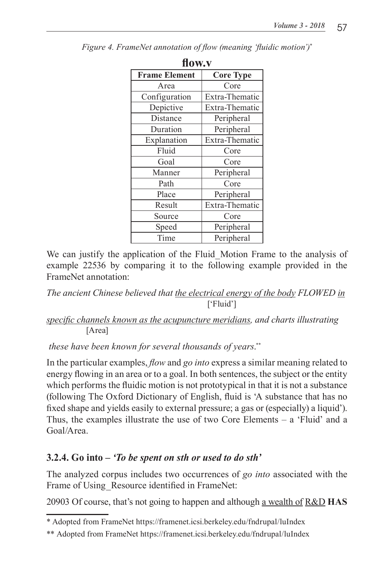| flow.y               |                  |  |  |
|----------------------|------------------|--|--|
| <b>Frame Element</b> | <b>Core Type</b> |  |  |
| Area                 | Core             |  |  |
| Configuration        | Extra-Thematic   |  |  |
| Depictive            | Extra-Thematic   |  |  |
| Distance             | Peripheral       |  |  |
| Duration             | Peripheral       |  |  |
| Explanation          | Extra-Thematic   |  |  |
| Fluid                | Core             |  |  |
| Goal                 | Core             |  |  |
| Manner               | Peripheral       |  |  |
| Path                 | Core             |  |  |
| Place                | Peripheral       |  |  |
| Result               | Extra-Thematic   |  |  |
| Source               | Core             |  |  |
| Speed                | Peripheral       |  |  |
| Time                 | Peripheral       |  |  |

*Figure 4. FrameNet annotation of flow (meaning 'fluidic motion')\**

We can justify the application of the Fluid Motion Frame to the analysis of example 22536 by comparing it to the following example provided in the FrameNet annotation:

*The ancient Chinese believed that the electrical energy of the body FLOWED in* ['Fluid']

#### *specific channels known as the acupuncture meridians, and charts illustrating* [Area]

 *these have been known for several thousands of years*. \*\*

In the particular examples, *flow* and *go into* express a similar meaning related to energy flowing in an area or to a goal. In both sentences, the subject or the entity which performs the fluidic motion is not prototypical in that it is not a substance (following The Oxford Dictionary of English, fluid is 'A substance that has no fixed shape and yields easily to external pressure; a gas or (especially) a liquid'). Thus, the examples illustrate the use of two Core Elements – a 'Fluid' and a Goal/Area.

# **3.2.4. Go into** *– 'To be spent on sth or used to do sth'*

The analyzed corpus includes two occurrences of *go into* associated with the Frame of Using Resource identified in FrameNet:

20903 Of course, that's not going to happen and although a wealth of R&D **HAS** 

<sup>\*</sup> Adopted from FrameNet https://framenet.icsi.berkeley.edu/fndrupal/luIndex

<sup>\*\*</sup> Adopted from FrameNet https://framenet.icsi.berkeley.edu/fndrupal/luIndex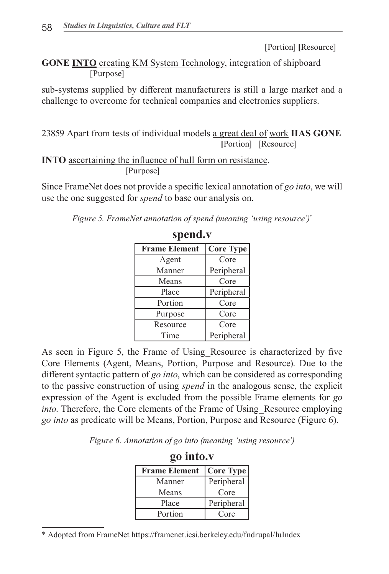[Portion] **[**Resource]

**GONE INTO** creating KM System Technology, integration of shipboard [Purpose]

sub-systems supplied by different manufacturers is still a large market and a challenge to overcome for technical companies and electronics suppliers.

23859 Apart from tests of individual models a great deal of work **HAS GONE [**Portion] [Resource]

**INTO** ascertaining the influence of hull form on resistance. [Purpose]

Since FrameNet does not provide a specific lexical annotation of *go into*, we will use the one suggested for *spend* to base our analysis on.

| Figure 5. FrameNet annotation of spend (meaning 'using resource')* |  |  |  |
|--------------------------------------------------------------------|--|--|--|
|                                                                    |  |  |  |

| <b>Frame Element</b> | <b>Core Type</b> |
|----------------------|------------------|
| Agent                | Core             |
| Manner               | Peripheral       |
| Means                | Core             |
| Place                | Peripheral       |
| Portion              | Core             |
| Purpose              | Core             |
| Resource             | Core             |
| Time                 | Peripheral       |

| spend.v |  |
|---------|--|
|---------|--|

As seen in Figure 5, the Frame of Using\_Resource is characterized by five Core Elements (Agent, Means, Portion, Purpose and Resource). Due to the different syntactic pattern of *go into*, which can be considered as corresponding to the passive construction of using *spend* in the analogous sense, the explicit expression of the Agent is excluded from the possible Frame elements for *go into*. Therefore, the Core elements of the Frame of Using Resource employing *go into* as predicate will be Means, Portion, Purpose and Resource (Figure 6).

*Figure 6. Annotation of go into (meaning 'using resource')*

| go into.v            |                  |  |  |
|----------------------|------------------|--|--|
| <b>Frame Element</b> | <b>Core Type</b> |  |  |
| Manner               | Peripheral       |  |  |
| Means                | Core             |  |  |
| Place                | Peripheral       |  |  |
| Portion              | Core             |  |  |

\* Adopted from FrameNet https://framenet.icsi.berkeley.edu/fndrupal/luIndex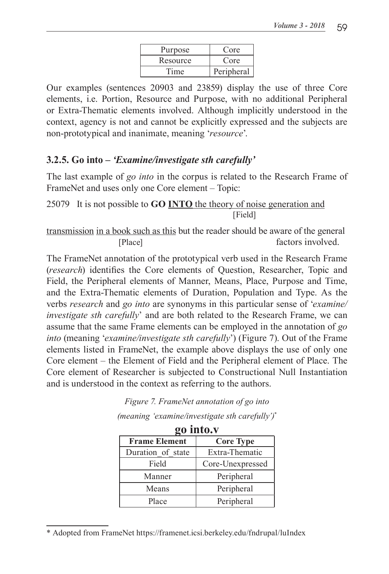| Purpose  | Core       |
|----------|------------|
| Resource | Core       |
| Time     | Peripheral |

Our examples (sentences 20903 and 23859) display the use of three Core elements, i.e. Portion, Resource and Purpose, with no additional Peripheral or Extra-Thematic elements involved. Although implicitly understood in the context, agency is not and cannot be explicitly expressed and the subjects are non-prototypical and inanimate, meaning '*resource*'.

#### **3.2.5. Go into** *– 'Examine/investigate sth carefully'*

The last example of *go into* in the corpus is related to the Research Frame of FrameNet and uses only one Core element – Topic:

25079 It is not possible to **GO INTO** the theory of noise generation and [Field]

transmission in a book such as this but the reader should be aware of the general [Place] factors involved.

The FrameNet annotation of the prototypical verb used in the Research Frame (*research*) identifies the Core elements of Question, Researcher, Topic and Field, the Peripheral elements of Manner, Means, Place, Purpose and Time, and the Extra-Thematic elements of Duration, Population and Type. As the verbs *research* and *go into* are synonyms in this particular sense of '*examine/ investigate sth carefully*' and are both related to the Research Frame, we can assume that the same Frame elements can be employed in the annotation of *go into* (meaning '*examine/investigate sth carefully*') (Figure 7). Out of the Frame elements listed in FrameNet, the example above displays the use of only one Core element – the Element of Field and the Peripheral element of Place. The Core element of Researcher is subjected to Constructional Null Instantiation and is understood in the context as referring to the authors.

| go into.v            |                  |
|----------------------|------------------|
| <b>Frame Element</b> | <b>Core Type</b> |
| Duration of state    | Extra-Thematic   |
| Field                | Core-Unexpressed |
| Manner               | Peripheral       |
| Means                | Peripheral       |
| Place                | Peripheral       |

*Figure 7. FrameNet annotation of go into* 

*<sup>(</sup>meaning 'examine/investigate sth carefully')\**

<sup>\*</sup> Adopted from FrameNet https://framenet.icsi.berkeley.edu/fndrupal/luIndex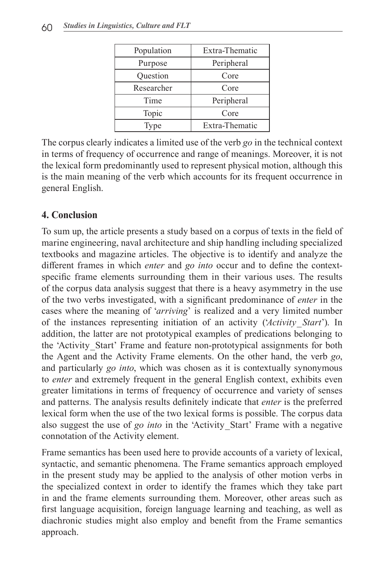| Population | Extra-Thematic |
|------------|----------------|
| Purpose    | Peripheral     |
| Question   | Core           |
| Researcher | Core           |
| Time       | Peripheral     |
| Topic      | Core           |
| Type       | Extra-Thematic |

The corpus clearly indicates a limited use of the verb *go* in the technical context in terms of frequency of occurrence and range of meanings. Moreover, it is not the lexical form predominantly used to represent physical motion, although this is the main meaning of the verb which accounts for its frequent occurrence in general English.

#### **4. Conclusion**

To sum up, the article presents a study based on a corpus of texts in the field of marine engineering, naval architecture and ship handling including specialized textbooks and magazine articles. The objective is to identify and analyze the different frames in which *enter* and *go into* occur and to define the contextspecific frame elements surrounding them in their various uses. The results of the corpus data analysis suggest that there is a heavy asymmetry in the use of the two verbs investigated, with a significant predominance of *enter* in the cases where the meaning of '*arriving*' is realized and a very limited number of the instances representing initiation of an activity ('*Activity\_Start*'). In addition, the latter are not prototypical examples of predications belonging to the 'Activity Start' Frame and feature non-prototypical assignments for both the Agent and the Activity Frame elements. On the other hand, the verb *go*, and particularly *go into*, which was chosen as it is contextually synonymous to *enter* and extremely frequent in the general English context, exhibits even greater limitations in terms of frequency of occurrence and variety of senses and patterns. The analysis results definitely indicate that *enter* is the preferred lexical form when the use of the two lexical forms is possible. The corpus data also suggest the use of *go into* in the 'Activity\_Start' Frame with a negative connotation of the Activity element.

Frame semantics has been used here to provide accounts of a variety of lexical, syntactic, and semantic phenomena. The Frame semantics approach employed in the present study may be applied to the analysis of other motion verbs in the specialized context in order to identify the frames which they take part in and the frame elements surrounding them. Moreover, other areas such as first language acquisition, foreign language learning and teaching, as well as diachronic studies might also employ and benefit from the Frame semantics approach.